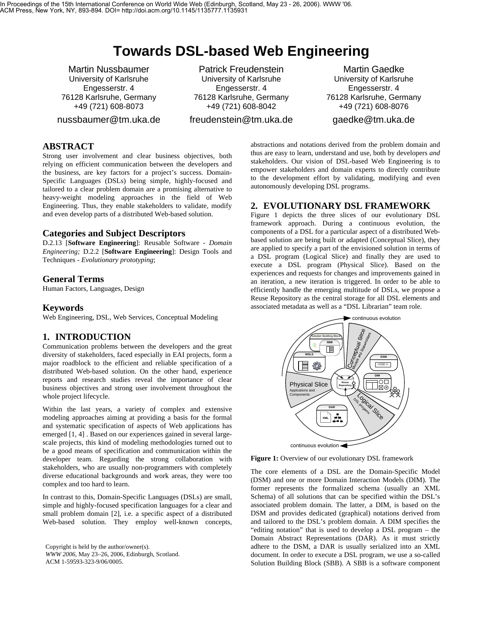# **Towards DSL-based Web Engineering**

Martin Nussbaumer University of Karlsruhe Engesserstr. 4 76128 Karlsruhe, Germany +49 (721) 608-8073

nussbaumer@tm.uka.de

Patrick Freudenstein University of Karlsruhe Engesserstr. 4 76128 Karlsruhe, Germany +49 (721) 608-8042

freudenstein@tm.uka.de

Martin Gaedke University of Karlsruhe Engesserstr. 4 76128 Karlsruhe, Germany +49 (721) 608-8076

gaedke@tm.uka.de

## **ABSTRACT**

Strong user involvement and clear business objectives, both relying on efficient communication between the developers and the business, are key factors for a project's success. Domain-Specific Languages (DSLs) being simple, highly-focused and tailored to a clear problem domain are a promising alternative to heavy-weight modeling approaches in the field of Web Engineering. Thus, they enable stakeholders to validate, modify and even develop parts of a distributed Web-based solution.

#### **Categories and Subject Descriptors**

D.2.13 [**Software Engineering**]: Reusable Software - *Domain Engineering;* D.2.2 [**Software Engineering**]: Design Tools and Techniques - *Evolutionary prototyping*;

#### **General Terms**

Human Factors, Languages, Design

#### **Keywords**

Web Engineering, DSL, Web Services, Conceptual Modeling

#### **1. INTRODUCTION**

Communication problems between the developers and the great diversity of stakeholders, faced especially in EAI projects, form a major roadblock to the efficient and reliable specification of a distributed Web-based solution. On the other hand, experience reports and research studies reveal the importance of clear business objectives and strong user involvement throughout the whole project lifecycle.

Within the last years, a variety of complex and extensive modeling approaches aiming at providing a basis for the formal and systematic specification of aspects of Web applications has emerged [1, 4] . Based on our experiences gained in several largescale projects, this kind of modeling methodologies turned out to be a good means of specification and communication within the developer team. Regarding the strong collaboration with stakeholders, who are usually non-programmers with completely diverse educational backgrounds and work areas, they were too complex and too hard to learn.

In contrast to this, Domain-Specific Languages (DSLs) are small, simple and highly-focused specification languages for a clear and small problem domain [2], i.e. a specific aspect of a distributed Web-based solution. They employ well-known concepts,

Copyright is held by the author/owner(s). *WWW 2006,* May 23–26, 2006, Edinburgh, Scotland. ACM 1-59593-323-9/06/0005.

abstractions and notations derived from the problem domain and thus are easy to learn, understand and use, both by developers *and* stakeholders. Our vision of DSL-based Web Engineering is to empower stakeholders and domain experts to directly contribute to the development effort by validating, modifying and even autonomously developing DSL programs.

## **2. EVOLUTIONARY DSL FRAMEWORK**

Figure 1 depicts the three slices of our evolutionary DSL framework approach. During a continuous evolution, the components of a DSL for a particular aspect of a distributed Webbased solution are being built or adapted (Conceptual Slice), they are applied to specify a part of the envisioned solution in terms of a DSL program (Logical Slice) and finally they are used to execute a DSL program (Physical Slice). Based on the experiences and requests for changes and improvements gained in an iteration, a new iteration is triggered. In order to be able to efficiently handle the emerging multitude of DSLs, we propose a Reuse Repository as the central storage for all DSL elements and associated metadata as well as a "DSL Librarian" team role.



**Figure 1:** Overview of our evolutionary DSL framework

The core elements of a DSL are the Domain-Specific Model (DSM) and one or more Domain Interaction Models (DIM). The former represents the formalized schema (usually an XML Schema) of all solutions that can be specified within the DSL's associated problem domain. The latter, a DIM, is based on the DSM and provides dedicated (graphical) notations derived from and tailored to the DSL's problem domain. A DIM specifies the "editing notation" that is used to develop a DSL program – the Domain Abstract Representations (DAR). As it must strictly adhere to the DSM, a DAR is usually serialized into an XML document. In order to execute a DSL program, we use a so-called Solution Building Block (SBB). A SBB is a software component